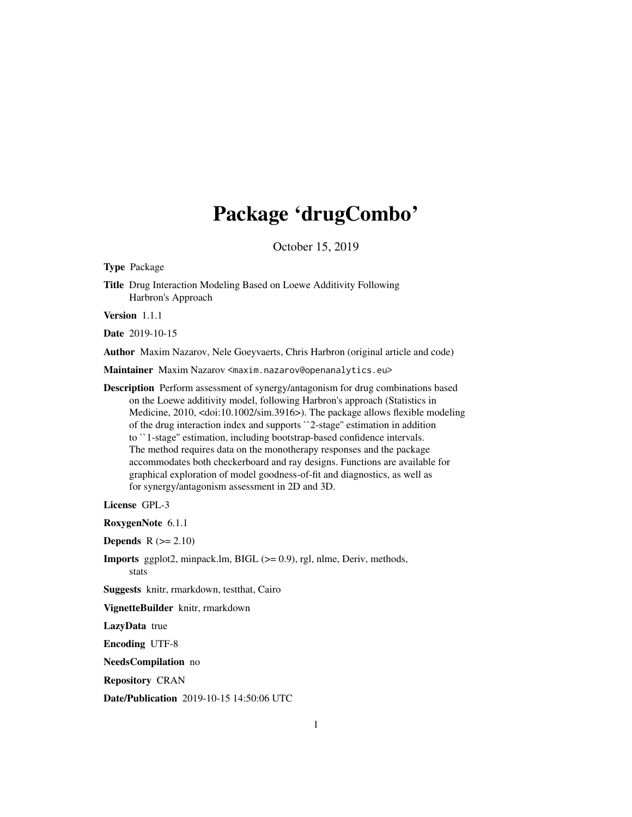# Package 'drugCombo'

October 15, 2019

<span id="page-0-0"></span>Type Package

Title Drug Interaction Modeling Based on Loewe Additivity Following Harbron's Approach

Version 1.1.1

Date 2019-10-15

Author Maxim Nazarov, Nele Goeyvaerts, Chris Harbron (original article and code)

Maintainer Maxim Nazarov <maxim.nazarov@openanalytics.eu>

Description Perform assessment of synergy/antagonism for drug combinations based on the Loewe additivity model, following Harbron's approach (Statistics in Medicine, 2010, <doi:10.1002/sim.3916>). The package allows flexible modeling of the drug interaction index and supports ``2-stage'' estimation in addition to ``1-stage'' estimation, including bootstrap-based confidence intervals. The method requires data on the monotherapy responses and the package accommodates both checkerboard and ray designs. Functions are available for graphical exploration of model goodness-of-fit and diagnostics, as well as for synergy/antagonism assessment in 2D and 3D.

License GPL-3

RoxygenNote 6.1.1

**Depends**  $R (= 2.10)$ 

Imports ggplot2, minpack.lm, BIGL (>= 0.9), rgl, nlme, Deriv, methods, stats

Suggests knitr, rmarkdown, testthat, Cairo

VignetteBuilder knitr, rmarkdown

LazyData true

Encoding UTF-8

NeedsCompilation no

Repository CRAN

Date/Publication 2019-10-15 14:50:06 UTC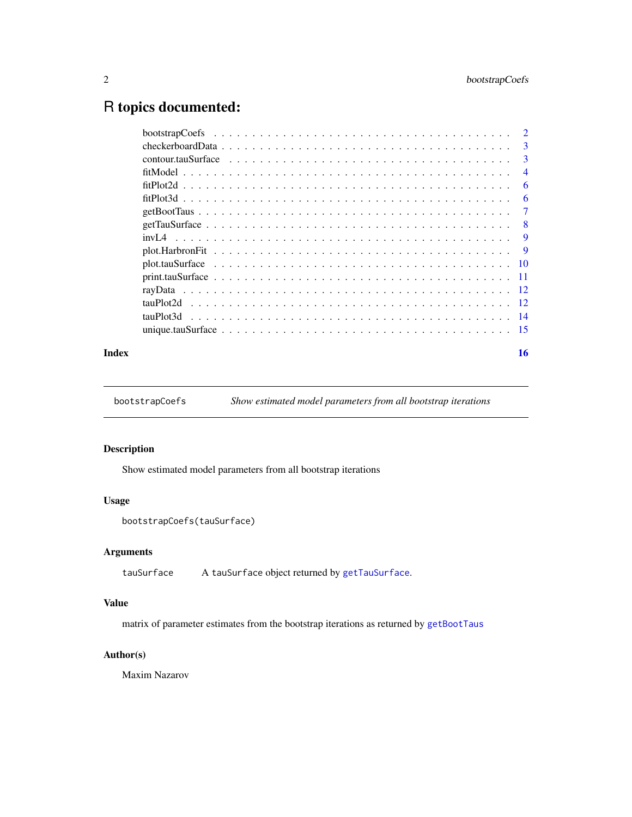# <span id="page-1-0"></span>R topics documented:

| $\mathcal{D}$ |
|---------------|
| 3             |
| $\mathbf{3}$  |
| 4             |
| 6             |
| 6             |
|               |
| 8             |
| 9             |
| -9            |
|               |
| -11           |
|               |
|               |
| -14           |
| -15           |
|               |

#### **Index** and the contract of the contract of the contract of the contract of the contract of the contract of the contract of the contract of the contract of the contract of the contract of the contract of the contract of th

<span id="page-1-1"></span>bootstrapCoefs *Show estimated model parameters from all bootstrap iterations*

# Description

Show estimated model parameters from all bootstrap iterations

## Usage

```
bootstrapCoefs(tauSurface)
```
# Arguments

```
tauSurface A tauSurface object returned by getTauSurface.
```
# Value

matrix of parameter estimates from the bootstrap iterations as returned by [getBootTaus](#page-6-1)

# Author(s)

Maxim Nazarov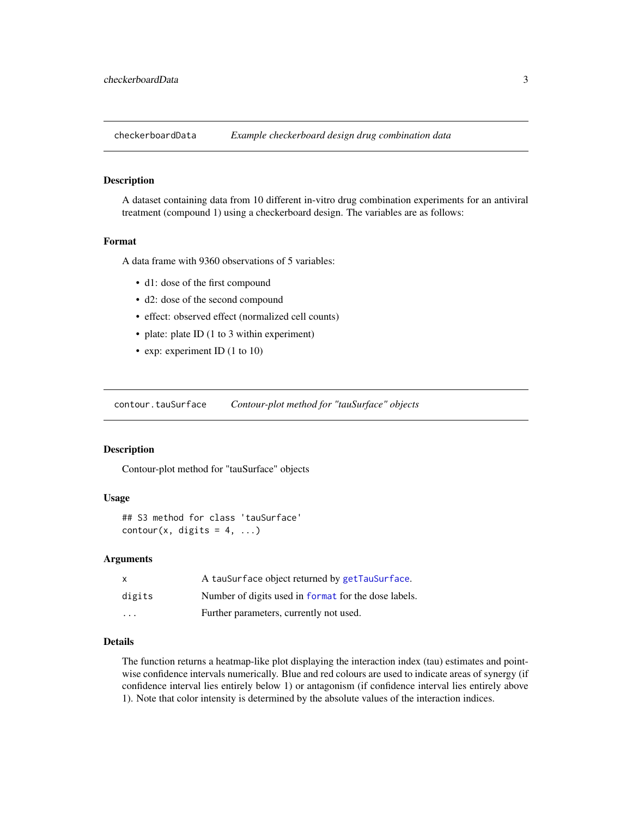<span id="page-2-0"></span>

A dataset containing data from 10 different in-vitro drug combination experiments for an antiviral treatment (compound 1) using a checkerboard design. The variables are as follows:

#### Format

A data frame with 9360 observations of 5 variables:

- d1: dose of the first compound
- d2: dose of the second compound
- effect: observed effect (normalized cell counts)
- plate: plate ID (1 to 3 within experiment)
- exp: experiment ID (1 to 10)

<span id="page-2-1"></span>contour.tauSurface *Contour-plot method for "tauSurface" objects*

#### Description

Contour-plot method for "tauSurface" objects

#### Usage

```
## S3 method for class 'tauSurface'
contour(x, digits = 4, ...)
```
#### Arguments

|                         | A tauSurface object returned by getTauSurface.       |
|-------------------------|------------------------------------------------------|
| digits                  | Number of digits used in format for the dose labels. |
| $\cdot$ $\cdot$ $\cdot$ | Further parameters, currently not used.              |

#### Details

The function returns a heatmap-like plot displaying the interaction index (tau) estimates and pointwise confidence intervals numerically. Blue and red colours are used to indicate areas of synergy (if confidence interval lies entirely below 1) or antagonism (if confidence interval lies entirely above 1). Note that color intensity is determined by the absolute values of the interaction indices.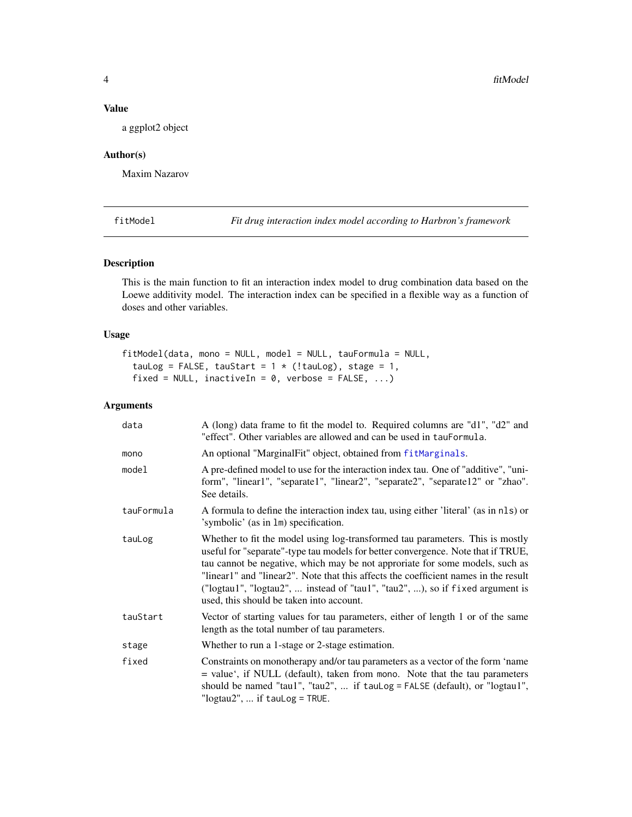#### <span id="page-3-0"></span>Value

a ggplot2 object

# Author(s)

Maxim Nazarov

<span id="page-3-1"></span>fitModel *Fit drug interaction index model according to Harbron's framework*

#### Description

This is the main function to fit an interaction index model to drug combination data based on the Loewe additivity model. The interaction index can be specified in a flexible way as a function of doses and other variables.

# Usage

```
fitModel(data, mono = NULL, model = NULL, tauFormula = NULL,
  tauLog = FALSE, tauStart = 1 * (!tauLog), stage = 1,
  fixed = NULL, inactiveIn = 0, verbose = FALSE, ...)
```

| data       | A (long) data frame to fit the model to. Required columns are "d1", "d2" and<br>"effect". Other variables are allowed and can be used in tauFormula.                                                                                                                                                                                                                                                                                                                  |
|------------|-----------------------------------------------------------------------------------------------------------------------------------------------------------------------------------------------------------------------------------------------------------------------------------------------------------------------------------------------------------------------------------------------------------------------------------------------------------------------|
| mono       | An optional "MarginalFit" object, obtained from fitMarginals.                                                                                                                                                                                                                                                                                                                                                                                                         |
| model      | A pre-defined model to use for the interaction index tau. One of "additive", "uni-<br>form", "linear1", "separate1", "linear2", "separate2", "separate12" or "zhao".<br>See details.                                                                                                                                                                                                                                                                                  |
| tauFormula | A formula to define the interaction index tau, using either 'literal' (as in nls) or<br>'symbolic' (as in 1m) specification.                                                                                                                                                                                                                                                                                                                                          |
| tauLog     | Whether to fit the model using log-transformed tau parameters. This is mostly<br>useful for "separate"-type tau models for better convergence. Note that if TRUE,<br>tau cannot be negative, which may be not approriate for some models, such as<br>"linear1" and "linear2". Note that this affects the coefficient names in the result<br>("logtau1", "logtau2",  instead of "tau1", "tau2", ), so if fixed argument is<br>used, this should be taken into account. |
| tauStart   | Vector of starting values for tau parameters, either of length 1 or of the same<br>length as the total number of tau parameters.                                                                                                                                                                                                                                                                                                                                      |
| stage      | Whether to run a 1-stage or 2-stage estimation.                                                                                                                                                                                                                                                                                                                                                                                                                       |
| fixed      | Constraints on monotherapy and/or tau parameters as a vector of the form 'name<br>= value', if NULL (default), taken from mono. Note that the tau parameters<br>should be named "tau1", "tau2",  if $taulog = FALSE$ (default), or "logtau1",<br>" $logtau2$ ",  if $tauLog = TRUE$ .                                                                                                                                                                                 |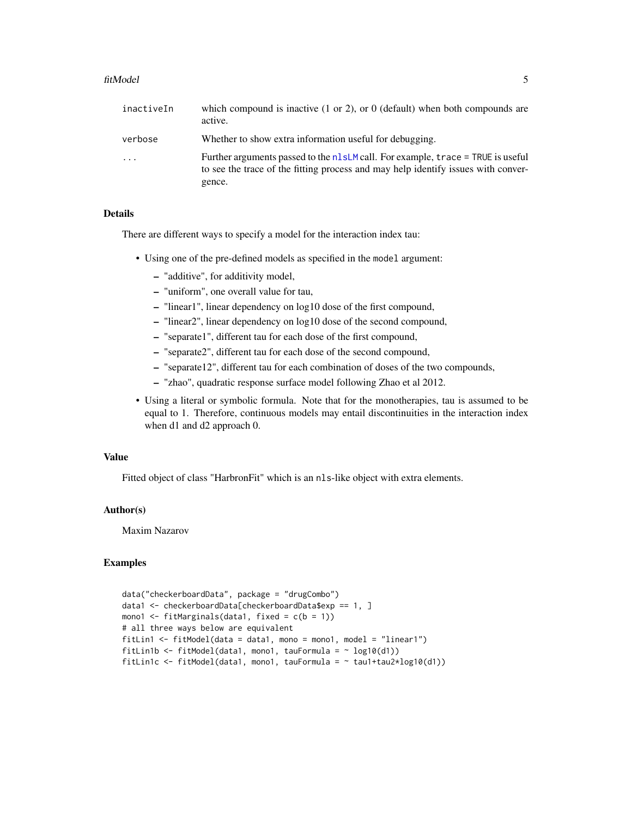#### <span id="page-4-0"></span>fitModel 5

| inactiveIn | which compound is inactive $(1 \text{ or } 2)$ , or $(0 \text{ (default) when both compounds are})$<br>active.                                                                   |
|------------|----------------------------------------------------------------------------------------------------------------------------------------------------------------------------------|
| verbose    | Whether to show extra information useful for debugging.                                                                                                                          |
| $\ddots$   | Further arguments passed to the $nlsLM$ call. For example, trace = TRUE is useful<br>to see the trace of the fitting process and may help identify issues with conver-<br>gence. |

# Details

There are different ways to specify a model for the interaction index tau:

- Using one of the pre-defined models as specified in the model argument:
	- "additive", for additivity model,
	- "uniform", one overall value for tau,
	- "linear1", linear dependency on log10 dose of the first compound,
	- "linear2", linear dependency on log10 dose of the second compound,
	- "separate1", different tau for each dose of the first compound,
	- "separate2", different tau for each dose of the second compound,
	- "separate12", different tau for each combination of doses of the two compounds,
	- "zhao", quadratic response surface model following Zhao et al 2012.
- Using a literal or symbolic formula. Note that for the monotherapies, tau is assumed to be equal to 1. Therefore, continuous models may entail discontinuities in the interaction index when d1 and d2 approach 0.

#### Value

Fitted object of class "HarbronFit" which is an nls-like object with extra elements.

#### Author(s)

Maxim Nazarov

#### Examples

```
data("checkerboardData", package = "drugCombo")
data1 <- checkerboardData[checkerboardData$exp == 1, ]
mono1 \le fitMarginals(data1, fixed = c(b = 1))
# all three ways below are equivalent
fitLin1 <- fitModel(data = data1, mono = mono1, model = "linear1")
fitLin1b <- fitModel(data1, mono1, tauFormula = \sim log10(d1))
fitLin1c <- fitModel(data1, mono1, tauFormula = \sim tau1+tau2*log10(d1))
```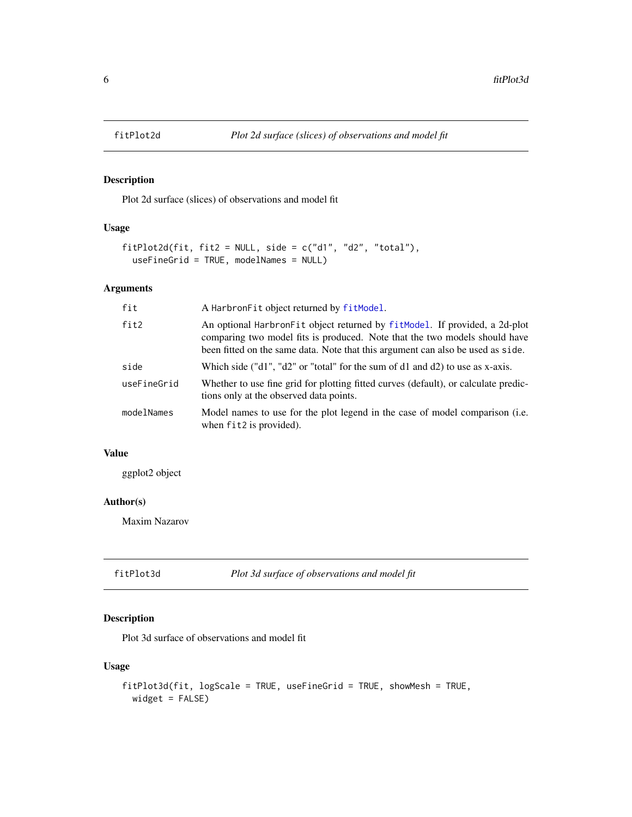<span id="page-5-1"></span><span id="page-5-0"></span>

Plot 2d surface (slices) of observations and model fit

# Usage

```
fitPlot2d(fit, fit2 = NULL, side = c("d1", "d2", "total"),
  useFineGrid = TRUE, modelNames = NULL)
```
# Arguments

| fit         | A Harbron Fit object returned by fit Model.                                                                                                                                                                                                   |
|-------------|-----------------------------------------------------------------------------------------------------------------------------------------------------------------------------------------------------------------------------------------------|
| fit2        | An optional Harbron Fit object returned by fit Model. If provided, a 2d-plot<br>comparing two model fits is produced. Note that the two models should have<br>been fitted on the same data. Note that this argument can also be used as side. |
| side        | Which side ("d1", "d2" or "total" for the sum of d1 and d2) to use as x-axis.                                                                                                                                                                 |
| useFineGrid | Whether to use fine grid for plotting fitted curves (default), or calculate predic-<br>tions only at the observed data points.                                                                                                                |
| modelNames  | Model names to use for the plot legend in the case of model comparison (i.e.<br>when fit2 is provided).                                                                                                                                       |

# Value

ggplot2 object

# Author(s)

Maxim Nazarov

<span id="page-5-2"></span>fitPlot3d *Plot 3d surface of observations and model fit*

# Description

Plot 3d surface of observations and model fit

#### Usage

```
fitPlot3d(fit, logScale = TRUE, useFineGrid = TRUE, showMesh = TRUE,
 widget = FALSE)
```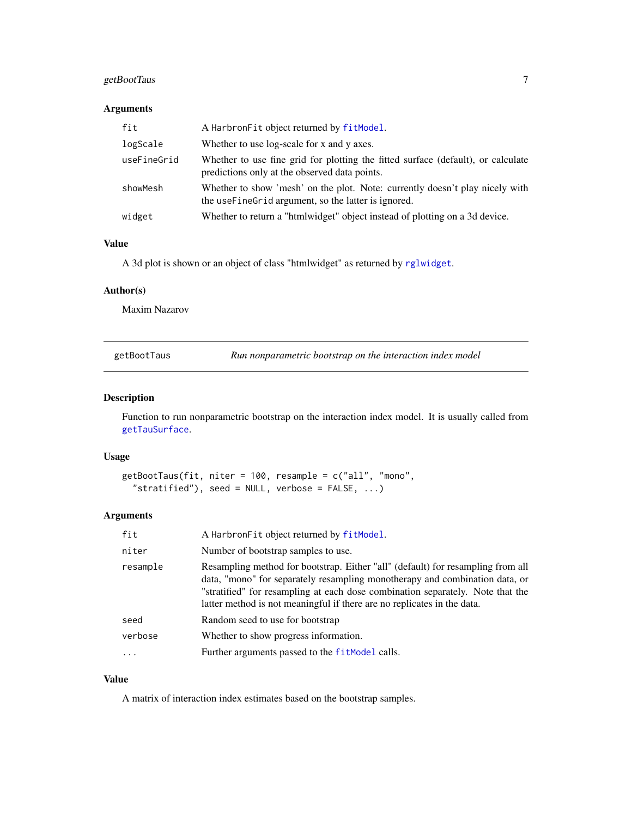# <span id="page-6-0"></span>getBootTaus 7

# Arguments

| fit         | A Harbron Fit object returned by fit Model.                                                                                           |
|-------------|---------------------------------------------------------------------------------------------------------------------------------------|
| logScale    | Whether to use log-scale for x and y axes.                                                                                            |
| useFineGrid | Whether to use fine grid for plotting the fitted surface (default), or calculate<br>predictions only at the observed data points.     |
| showMesh    | Whether to show 'mesh' on the plot. Note: currently doesn't play nicely with<br>the use Fine Grid argument, so the latter is ignored. |
| widget      | Whether to return a "htmlwidget" object instead of plotting on a 3d device.                                                           |

## Value

A 3d plot is shown or an object of class "htmlwidget" as returned by [rglwidget](#page-0-0).

#### Author(s)

Maxim Nazarov

| getBootTaus |  |
|-------------|--|
|             |  |

<span id="page-6-1"></span>getBootTaus *Run nonparametric bootstrap on the interaction index model*

#### Description

Function to run nonparametric bootstrap on the interaction index model. It is usually called from [getTauSurface](#page-7-1).

#### Usage

```
getBootTaus(fit, niter = 100, resample = c("all", "mono",
  "stratified"), seed = NULL, verbose = FALSE, ...
```
#### Arguments

| A Harbron Fit object returned by fit Model.                                                                                                                                                                                                                                                                                 |
|-----------------------------------------------------------------------------------------------------------------------------------------------------------------------------------------------------------------------------------------------------------------------------------------------------------------------------|
| Number of bootstrap samples to use.                                                                                                                                                                                                                                                                                         |
| Resampling method for bootstrap. Either "all" (default) for resampling from all<br>data, "mono" for separately resampling monotherapy and combination data, or<br>"stratified" for resampling at each dose combination separately. Note that the<br>latter method is not meaningful if there are no replicates in the data. |
| Random seed to use for bootstrap                                                                                                                                                                                                                                                                                            |
| Whether to show progress information.                                                                                                                                                                                                                                                                                       |
| Further arguments passed to the fit Model calls.                                                                                                                                                                                                                                                                            |
|                                                                                                                                                                                                                                                                                                                             |

## Value

A matrix of interaction index estimates based on the bootstrap samples.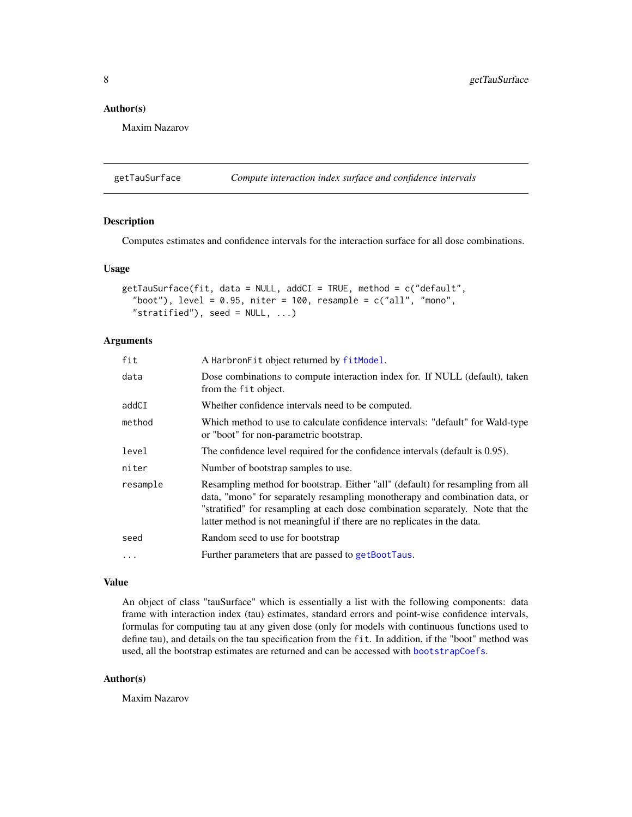#### <span id="page-7-0"></span>Author(s)

Maxim Nazarov

<span id="page-7-1"></span>getTauSurface *Compute interaction index surface and confidence intervals*

# Description

Computes estimates and confidence intervals for the interaction surface for all dose combinations.

#### Usage

```
getTauSurface(fit, data = NULL, addCI = TRUE, method = c("default",
  "boot"), level = 0.95, niter = 100, resample = c("all", "mono","stratified"), seed = NULL, ...)
```
# Arguments

| fit      | A Harbron Fit object returned by fit Model.                                                                                                                                                                                                                                                                                 |
|----------|-----------------------------------------------------------------------------------------------------------------------------------------------------------------------------------------------------------------------------------------------------------------------------------------------------------------------------|
| data     | Dose combinations to compute interaction index for. If NULL (default), taken<br>from the fit object.                                                                                                                                                                                                                        |
| addCI    | Whether confidence intervals need to be computed.                                                                                                                                                                                                                                                                           |
| method   | Which method to use to calculate confidence intervals: "default" for Wald-type<br>or "boot" for non-parametric bootstrap.                                                                                                                                                                                                   |
| level    | The confidence level required for the confidence intervals (default is 0.95).                                                                                                                                                                                                                                               |
| niter    | Number of bootstrap samples to use.                                                                                                                                                                                                                                                                                         |
| resample | Resampling method for bootstrap. Either "all" (default) for resampling from all<br>data, "mono" for separately resampling monotherapy and combination data, or<br>"stratified" for resampling at each dose combination separately. Note that the<br>latter method is not meaningful if there are no replicates in the data. |
| seed     | Random seed to use for bootstrap                                                                                                                                                                                                                                                                                            |
| .        | Further parameters that are passed to getBootTaus.                                                                                                                                                                                                                                                                          |
|          |                                                                                                                                                                                                                                                                                                                             |

#### Value

An object of class "tauSurface" which is essentially a list with the following components: data frame with interaction index (tau) estimates, standard errors and point-wise confidence intervals, formulas for computing tau at any given dose (only for models with continuous functions used to define tau), and details on the tau specification from the fit. In addition, if the "boot" method was used, all the bootstrap estimates are returned and can be accessed with [bootstrapCoefs](#page-1-1).

#### Author(s)

Maxim Nazarov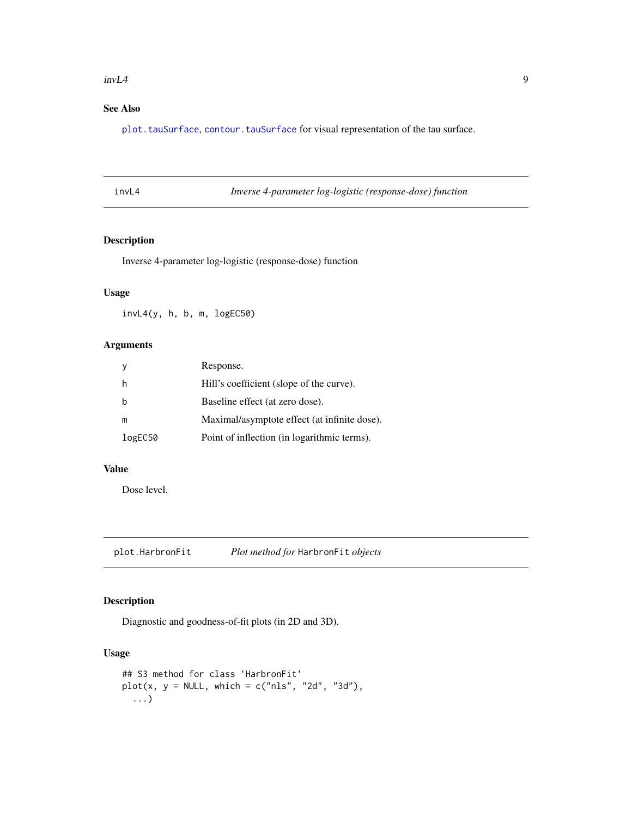#### <span id="page-8-0"></span> $invL4$  9

# See Also

[plot.tauSurface](#page-9-1), [contour.tauSurface](#page-2-1) for visual representation of the tau surface.

Inverse 4-parameter log-logistic (response-dose) function

# Description

Inverse 4-parameter log-logistic (response-dose) function

#### Usage

invL4(y, h, b, m, logEC50)

# Arguments

|         | Response.                                    |
|---------|----------------------------------------------|
|         | Hill's coefficient (slope of the curve).     |
|         | Baseline effect (at zero dose).              |
| m       | Maximal/asymptote effect (at infinite dose). |
| logEC50 | Point of inflection (in logarithmic terms).  |
|         |                                              |

#### Value

Dose level.

plot.HarbronFit *Plot method for* HarbronFit *objects*

# Description

Diagnostic and goodness-of-fit plots (in 2D and 3D).

## Usage

```
## S3 method for class 'HarbronFit'
plot(x, y = NULL, which = c("nls", "2d", "3d"),...)
```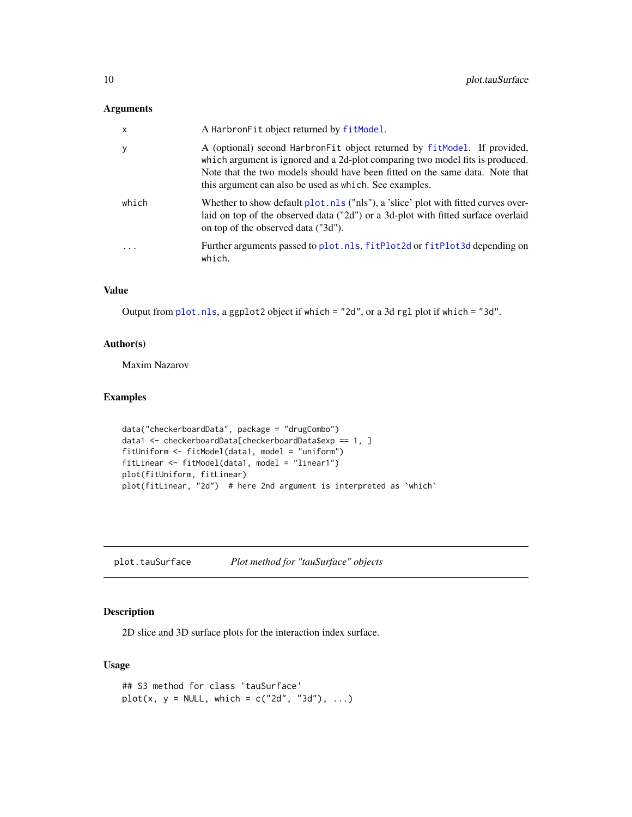### <span id="page-9-0"></span>Arguments

| $\times$ | A Harbron Fit object returned by fit Model.                                                                                                                                                                                                                                                         |
|----------|-----------------------------------------------------------------------------------------------------------------------------------------------------------------------------------------------------------------------------------------------------------------------------------------------------|
| у        | A (optional) second HarbronFit object returned by fitModel. If provided,<br>which argument is ignored and a 2d-plot comparing two model fits is produced.<br>Note that the two models should have been fitted on the same data. Note that<br>this argument can also be used as which. See examples. |
| which    | Whether to show default plot.nls ("nls"), a 'slice' plot with fitted curves over-<br>laid on top of the observed data ("2d") or a 3d-plot with fitted surface overlaid<br>on top of the observed data ("3d").                                                                                       |
| .        | Further arguments passed to plot.nls, fitPlot2d or fitPlot3d depending on<br>which.                                                                                                                                                                                                                 |

# Value

Output from [plot.nls](#page-0-0), a ggplot2 object if which = "2d", or a 3d rgl plot if which = "3d".

#### Author(s)

Maxim Nazarov

# Examples

```
data("checkerboardData", package = "drugCombo")
data1 <- checkerboardData[checkerboardData$exp == 1, ]
fitUniform <- fitModel(data1, model = "uniform")
fitLinear <- fitModel(data1, model = "linear1")
plot(fitUniform, fitLinear)
plot(fitLinear, "2d") # here 2nd argument is interpreted as `which`
```
<span id="page-9-1"></span>plot.tauSurface *Plot method for "tauSurface" objects*

# Description

2D slice and 3D surface plots for the interaction index surface.

## Usage

```
## S3 method for class 'tauSurface'
plot(x, y = NULL, which = c("2d", "3d"), ...)
```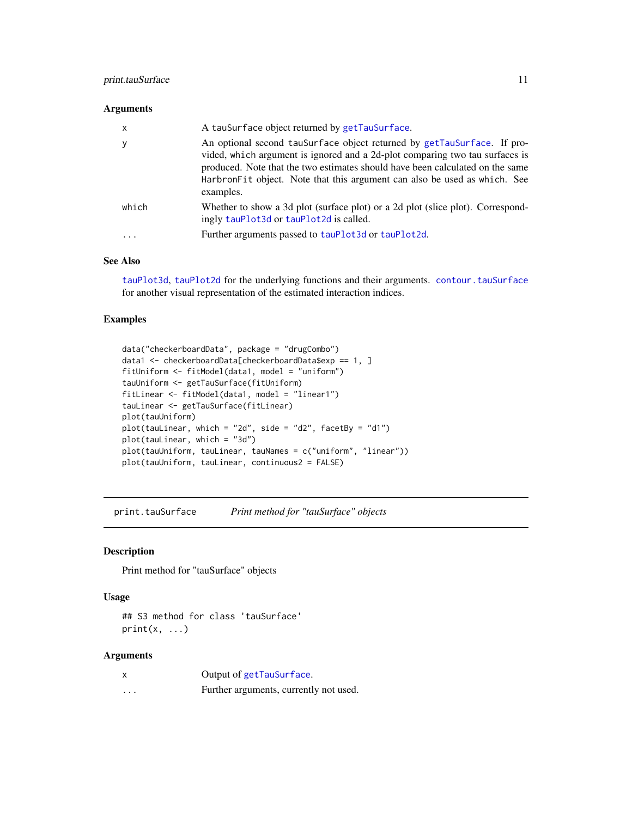# <span id="page-10-0"></span>print.tauSurface 11

#### Arguments

| $\mathsf{x}$ | A tauSurface object returned by getTauSurface.                                                                                                                                                                                                                                                                                     |
|--------------|------------------------------------------------------------------------------------------------------------------------------------------------------------------------------------------------------------------------------------------------------------------------------------------------------------------------------------|
| y            | An optional second tauSurface object returned by getTauSurface. If pro-<br>vided, which argument is ignored and a 2d-plot comparing two tau surfaces is<br>produced. Note that the two estimates should have been calculated on the same<br>HarbronFit object. Note that this argument can also be used as which. See<br>examples. |
| which        | Whether to show a 3d plot (surface plot) or a 2d plot (slice plot). Correspond-<br>ingly tauPlot3d or tauPlot2d is called.                                                                                                                                                                                                         |
|              | Further arguments passed to tauPlot3d or tauPlot2d.                                                                                                                                                                                                                                                                                |

# See Also

[tauPlot3d](#page-13-1), [tauPlot2d](#page-11-1) for the underlying functions and their arguments. [contour.tauSurface](#page-2-1) for another visual representation of the estimated interaction indices.

### Examples

```
data("checkerboardData", package = "drugCombo")
data1 <- checkerboardData[checkerboardData$exp == 1, ]
fitUniform <- fitModel(data1, model = "uniform")
tauUniform <- getTauSurface(fitUniform)
fitLinear <- fitModel(data1, model = "linear1")
tauLinear <- getTauSurface(fitLinear)
plot(tauUniform)
plot(tauLinear, which = "2d", side = "d2", facetBy = "d1")
plot(tauLinear, which = "3d")
plot(tauUniform, tauLinear, tauNames = c("uniform", "linear"))
plot(tauUniform, tauLinear, continuous2 = FALSE)
```
print.tauSurface *Print method for "tauSurface" objects*

## Description

Print method for "tauSurface" objects

# Usage

```
## S3 method for class 'tauSurface'
print(x, \ldots)
```

| X        | Output of getTauSurface.               |
|----------|----------------------------------------|
| $\cdots$ | Further arguments, currently not used. |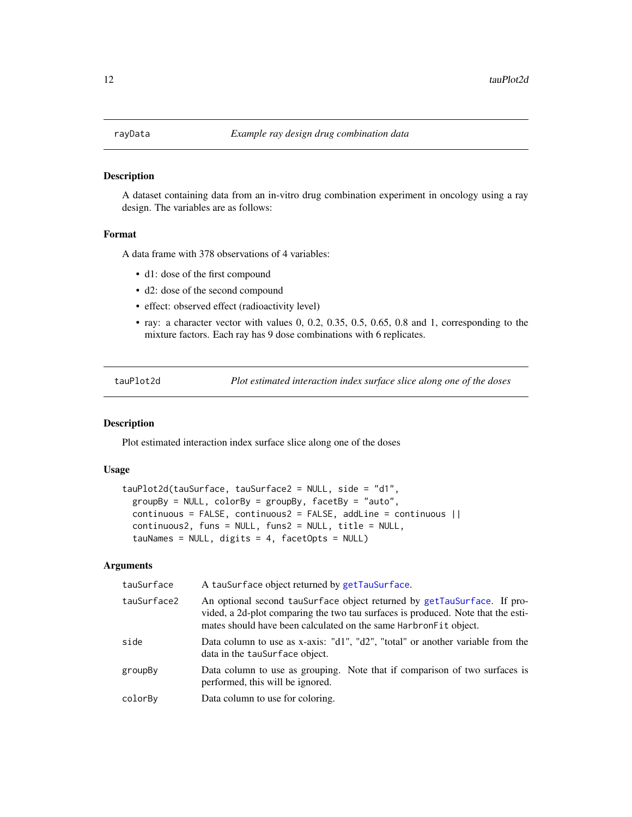<span id="page-11-0"></span>

A dataset containing data from an in-vitro drug combination experiment in oncology using a ray design. The variables are as follows:

#### Format

A data frame with 378 observations of 4 variables:

- d1: dose of the first compound
- d2: dose of the second compound
- effect: observed effect (radioactivity level)
- ray: a character vector with values 0, 0.2, 0.35, 0.5, 0.65, 0.8 and 1, corresponding to the mixture factors. Each ray has 9 dose combinations with 6 replicates.

<span id="page-11-1"></span>tauPlot2d *Plot estimated interaction index surface slice along one of the doses*

#### Description

Plot estimated interaction index surface slice along one of the doses

#### Usage

```
tauPlot2d(tauSurface, tauSurface2 = NULL, side = "d1",
  groupBy = NULL, colorBy = groupBy, facetBy = "auto",
  continuous = FALSE, continuous2 = FALSE, addLine = continuous ||
  continuous2, funs = NULL, funs2 = NULL, title = NULL,
  tauNames = NULL, digits = 4, facetOpts = NULL)
```

| tauSurface  | A tauSurface object returned by getTauSurface.                                                                                                                                                                                   |
|-------------|----------------------------------------------------------------------------------------------------------------------------------------------------------------------------------------------------------------------------------|
| tauSurface2 | An optional second tauSurface object returned by getTauSurface. If pro-<br>vided, a 2d-plot comparing the two tau surfaces is produced. Note that the esti-<br>mates should have been calculated on the same Harbron Fit object. |
| side        | Data column to use as x-axis: "d1", "d2", "total" or another variable from the<br>data in the tauSurface object.                                                                                                                 |
| groupBy     | Data column to use as grouping. Note that if comparison of two surfaces is<br>performed, this will be ignored.                                                                                                                   |
| colorBy     | Data column to use for coloring.                                                                                                                                                                                                 |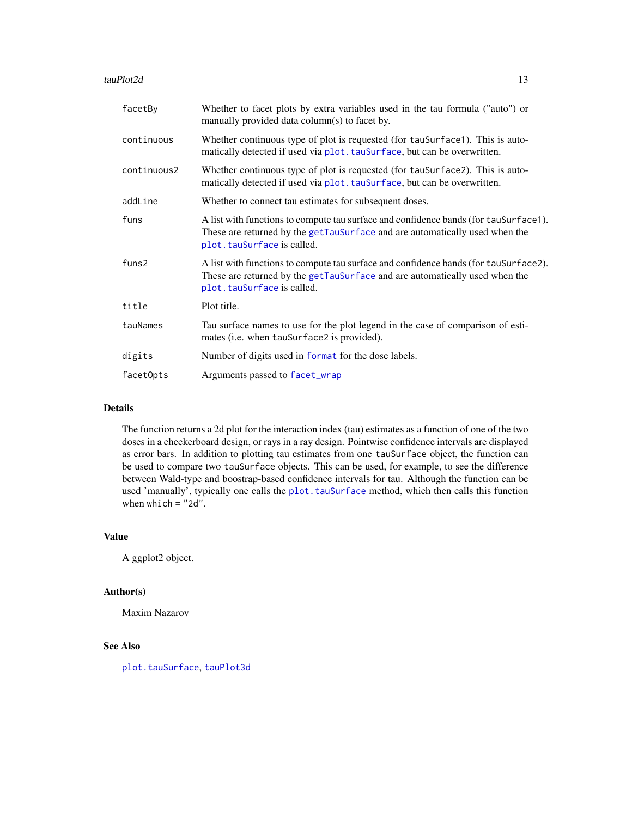#### <span id="page-12-0"></span>tauPlot2d 13

| facetBy           | Whether to facet plots by extra variables used in the tau formula ("auto") or<br>manually provided data column(s) to facet by.                                                                     |
|-------------------|----------------------------------------------------------------------------------------------------------------------------------------------------------------------------------------------------|
| continuous        | Whether continuous type of plot is requested (for tauSurface1). This is auto-<br>matically detected if used via plot. tauSurface, but can be overwritten.                                          |
| continuous2       | Whether continuous type of plot is requested (for tauSurface2). This is auto-<br>matically detected if used via plot. tauSurface, but can be overwritten.                                          |
| addLine           | Whether to connect tau estimates for subsequent doses.                                                                                                                                             |
| funs              | A list with functions to compute tau surface and confidence bands (for tauSurface1).<br>These are returned by the getTauSurface and are automatically used when the<br>plot. tauSurface is called. |
| funs <sub>2</sub> | A list with functions to compute tau surface and confidence bands (for tauSurface2).<br>These are returned by the getTauSurface and are automatically used when the<br>plot. tauSurface is called. |
| title             | Plot title.                                                                                                                                                                                        |
| tauNames          | Tau surface names to use for the plot legend in the case of comparison of esti-<br>mates (i.e. when tauSurface2 is provided).                                                                      |
| digits            | Number of digits used in format for the dose labels.                                                                                                                                               |
| facetOpts         | Arguments passed to facet_wrap                                                                                                                                                                     |

### Details

The function returns a 2d plot for the interaction index (tau) estimates as a function of one of the two doses in a checkerboard design, or rays in a ray design. Pointwise confidence intervals are displayed as error bars. In addition to plotting tau estimates from one tauSurface object, the function can be used to compare two tauSurface objects. This can be used, for example, to see the difference between Wald-type and boostrap-based confidence intervals for tau. Although the function can be used 'manually', typically one calls the [plot.tauSurface](#page-9-1) method, which then calls this function when which = "2d".

#### Value

A ggplot2 object.

#### Author(s)

Maxim Nazarov

# See Also

[plot.tauSurface](#page-9-1), [tauPlot3d](#page-13-1)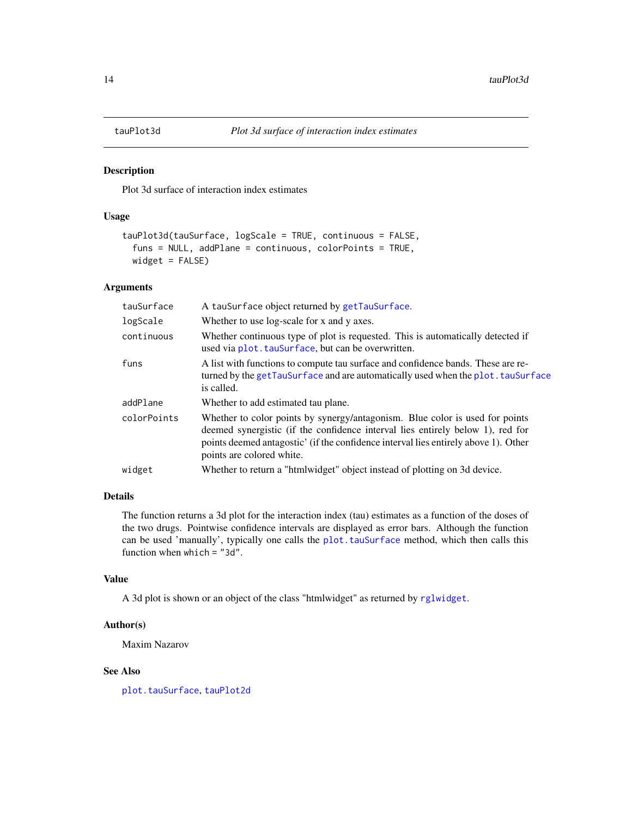<span id="page-13-1"></span><span id="page-13-0"></span>

Plot 3d surface of interaction index estimates

# Usage

```
tauPlot3d(tauSurface, logScale = TRUE, continuous = FALSE,
  funs = NULL, addPlane = continuous, colorPoints = TRUE,
 widget = FALSE)
```
#### Arguments

| tauSurface  | A tauSurface object returned by getTauSurface.                                                                                                                                                                                                                                     |
|-------------|------------------------------------------------------------------------------------------------------------------------------------------------------------------------------------------------------------------------------------------------------------------------------------|
| logScale    | Whether to use log-scale for x and y axes.                                                                                                                                                                                                                                         |
| continuous  | Whether continuous type of plot is requested. This is automatically detected if<br>used via plot. tauSurface, but can be overwritten.                                                                                                                                              |
| funs        | A list with functions to compute tau surface and confidence bands. These are re-<br>turned by the getTauSurface and are automatically used when the plot. tauSurface<br>is called.                                                                                                 |
| addPlane    | Whether to add estimated tau plane.                                                                                                                                                                                                                                                |
| colorPoints | Whether to color points by synergy/antagonism. Blue color is used for points<br>deemed synergistic (if the confidence interval lies entirely below 1), red for<br>points deemed antagostic' (if the confidence interval lies entirely above 1). Other<br>points are colored white. |
| widget      | Whether to return a "htmlwidget" object instead of plotting on 3d device.                                                                                                                                                                                                          |

# Details

The function returns a 3d plot for the interaction index (tau) estimates as a function of the doses of the two drugs. Pointwise confidence intervals are displayed as error bars. Although the function can be used 'manually', typically one calls the [plot.tauSurface](#page-9-1) method, which then calls this function when which = "3d".

#### Value

A 3d plot is shown or an object of the class "htmlwidget" as returned by [rglwidget](#page-0-0).

#### Author(s)

Maxim Nazarov

#### See Also

[plot.tauSurface](#page-9-1), [tauPlot2d](#page-11-1)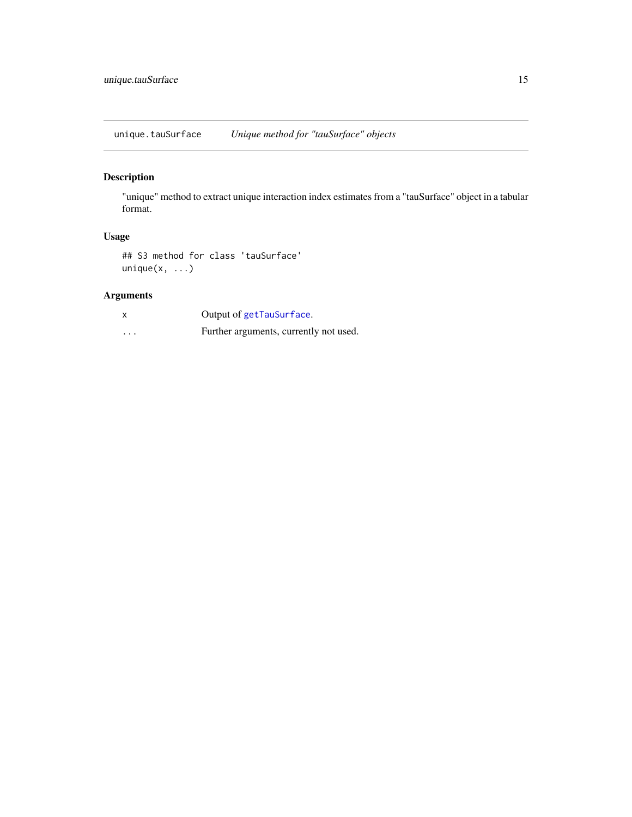<span id="page-14-0"></span>unique.tauSurface *Unique method for "tauSurface" objects*

# Description

"unique" method to extract unique interaction index estimates from a "tauSurface" object in a tabular format.

# Usage

## S3 method for class 'tauSurface' unique $(x, \ldots)$ 

|          | Output of getTauSurface.               |
|----------|----------------------------------------|
| $\cdots$ | Further arguments, currently not used. |